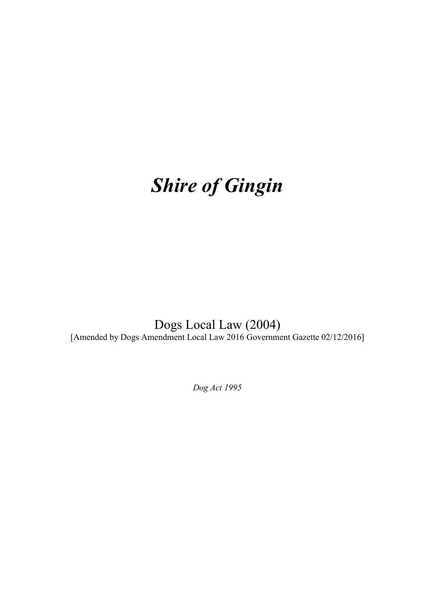# *Shire of Gingin*

Dogs Local Law (2004) [Amended by Dogs Amendment Local Law 2016 Government Gazette 02/12/2016]

*Dog Act 1995*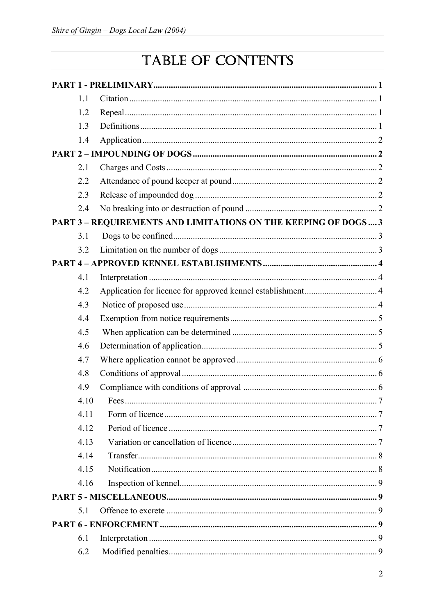# TABLE OF CONTENTS

| 1.1                                                            |  |
|----------------------------------------------------------------|--|
| 1.2                                                            |  |
| 1.3                                                            |  |
| 1.4                                                            |  |
|                                                                |  |
| 2.1                                                            |  |
| 2.2                                                            |  |
| 2.3                                                            |  |
| 2.4                                                            |  |
| PART 3 - REQUIREMENTS AND LIMITATIONS ON THE KEEPING OF DOGS 3 |  |
| 3.1                                                            |  |
| 3.2                                                            |  |
|                                                                |  |
| 4.1                                                            |  |
| 4.2                                                            |  |
| 4.3                                                            |  |
| 4.4                                                            |  |
| 4.5                                                            |  |
| 4.6                                                            |  |
| 4.7                                                            |  |
| 4.8                                                            |  |
| 4.9                                                            |  |
| 4.10                                                           |  |
| 4.11                                                           |  |
| 4.12                                                           |  |
| 4.13                                                           |  |
| 4.14                                                           |  |
| 4.15                                                           |  |
| 4.16                                                           |  |
|                                                                |  |
| 5.1                                                            |  |
|                                                                |  |
| 6.1                                                            |  |
| 6.2                                                            |  |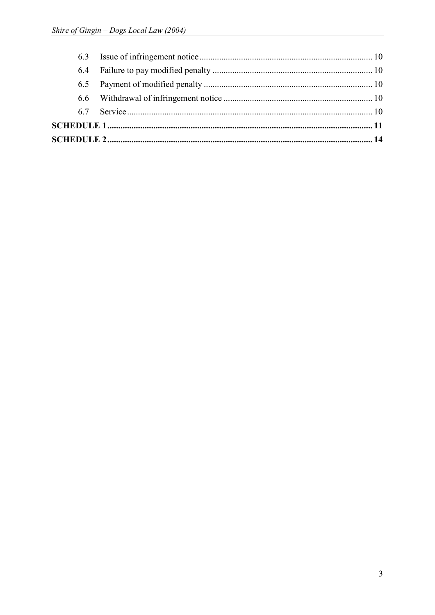| 6.4 |  |
|-----|--|
|     |  |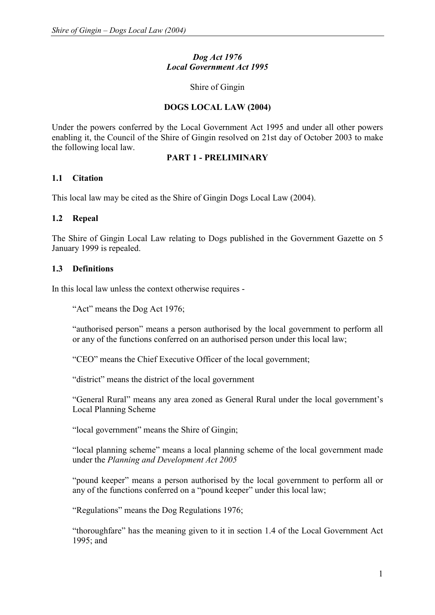# *Dog Act 1976 Local Government Act 1995*

#### Shire of Gingin

# **DOGS LOCAL LAW (2004)**

Under the powers conferred by the Local Government Act 1995 and under all other powers enabling it, the Council of the Shire of Gingin resolved on 21st day of October 2003 to make the following local law.

# **PART 1 - PRELIMINARY**

# **1.1 Citation**

This local law may be cited as the Shire of Gingin Dogs Local Law (2004).

# **1.2 Repeal**

The Shire of Gingin Local Law relating to Dogs published in the Government Gazette on 5 January 1999 is repealed.

# **1.3 Definitions**

In this local law unless the context otherwise requires -

"Act" means the Dog Act 1976;

"authorised person" means a person authorised by the local government to perform all or any of the functions conferred on an authorised person under this local law;

"CEO" means the Chief Executive Officer of the local government;

"district" means the district of the local government

"General Rural" means any area zoned as General Rural under the local government's Local Planning Scheme

"local government" means the Shire of Gingin;

"local planning scheme" means a local planning scheme of the local government made under the *Planning and Development Act 2005*

"pound keeper" means a person authorised by the local government to perform all or any of the functions conferred on a "pound keeper" under this local law;

"Regulations" means the Dog Regulations 1976;

"thoroughfare" has the meaning given to it in section 1.4 of the Local Government Act 1995; and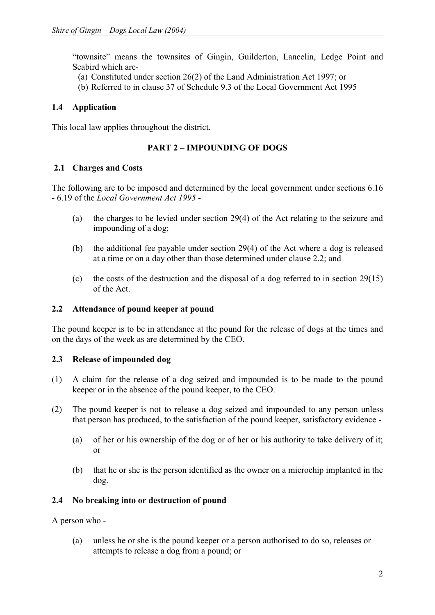"townsite" means the townsites of Gingin, Guilderton, Lancelin, Ledge Point and Seabird which are-

- (a) Constituted under section 26(2) of the Land Administration Act 1997; or
- (b) Referred to in clause 37 of Schedule 9.3 of the Local Government Act 1995

# **1.4 Application**

This local law applies throughout the district.

# **PART 2 – IMPOUNDING OF DOGS**

#### **2.1 Charges and Costs**

The following are to be imposed and determined by the local government under sections 6.16 - 6.19 of the *Local Government Act 1995* -

- (a) the charges to be levied under section 29(4) of the Act relating to the seizure and impounding of a dog;
- (b) the additional fee payable under section 29(4) of the Act where a dog is released at a time or on a day other than those determined under clause 2.2; and
- (c) the costs of the destruction and the disposal of a dog referred to in section 29(15) of the Act.

# **2.2 Attendance of pound keeper at pound**

The pound keeper is to be in attendance at the pound for the release of dogs at the times and on the days of the week as are determined by the CEO.

#### **2.3 Release of impounded dog**

- (1) A claim for the release of a dog seized and impounded is to be made to the pound keeper or in the absence of the pound keeper, to the CEO.
- (2) The pound keeper is not to release a dog seized and impounded to any person unless that person has produced, to the satisfaction of the pound keeper, satisfactory evidence -
	- (a) of her or his ownership of the dog or of her or his authority to take delivery of it; or
	- (b) that he or she is the person identified as the owner on a microchip implanted in the dog.

# **2.4 No breaking into or destruction of pound**

A person who -

(a) unless he or she is the pound keeper or a person authorised to do so, releases or attempts to release a dog from a pound; or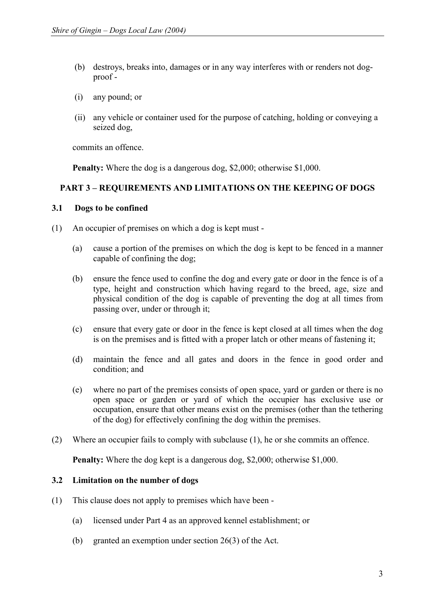- (b) destroys, breaks into, damages or in any way interferes with or renders not dogproof -
- (i) any pound; or
- (ii) any vehicle or container used for the purpose of catching, holding or conveying a seized dog,

commits an offence.

**Penalty:** Where the dog is a dangerous dog, \$2,000; otherwise \$1,000.

# **PART 3 – REQUIREMENTS AND LIMITATIONS ON THE KEEPING OF DOGS**

#### **3.1 Dogs to be confined**

- (1) An occupier of premises on which a dog is kept must
	- (a) cause a portion of the premises on which the dog is kept to be fenced in a manner capable of confining the dog;
	- (b) ensure the fence used to confine the dog and every gate or door in the fence is of a type, height and construction which having regard to the breed, age, size and physical condition of the dog is capable of preventing the dog at all times from passing over, under or through it;
	- (c) ensure that every gate or door in the fence is kept closed at all times when the dog is on the premises and is fitted with a proper latch or other means of fastening it;
	- (d) maintain the fence and all gates and doors in the fence in good order and condition; and
	- (e) where no part of the premises consists of open space, yard or garden or there is no open space or garden or yard of which the occupier has exclusive use or occupation, ensure that other means exist on the premises (other than the tethering of the dog) for effectively confining the dog within the premises.
- (2) Where an occupier fails to comply with subclause (1), he or she commits an offence.

**Penalty:** Where the dog kept is a dangerous dog, \$2,000; otherwise \$1,000.

#### **3.2 Limitation on the number of dogs**

- (1) This clause does not apply to premises which have been
	- (a) licensed under Part 4 as an approved kennel establishment; or
	- (b) granted an exemption under section 26(3) of the Act.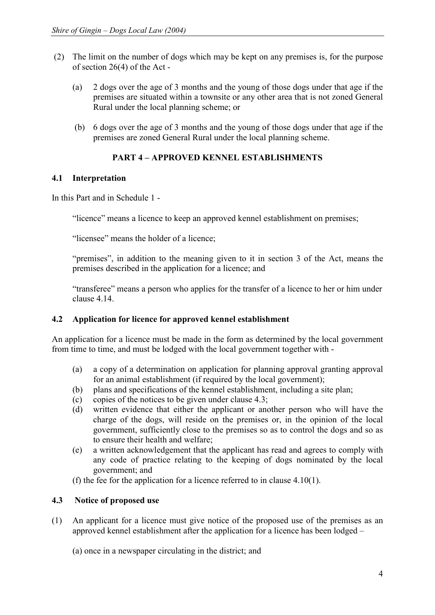- (2) The limit on the number of dogs which may be kept on any premises is, for the purpose of section 26(4) of the Act -
	- (a) 2 dogs over the age of 3 months and the young of those dogs under that age if the premises are situated within a townsite or any other area that is not zoned General Rural under the local planning scheme; or
	- (b) 6 dogs over the age of 3 months and the young of those dogs under that age if the premises are zoned General Rural under the local planning scheme.

# **PART 4 – APPROVED KENNEL ESTABLISHMENTS**

# **4.1 Interpretation**

In this Part and in Schedule 1 -

"licence" means a licence to keep an approved kennel establishment on premises;

"licensee" means the holder of a licence;

"premises", in addition to the meaning given to it in section 3 of the Act, means the premises described in the application for a licence; and

"transferee" means a person who applies for the transfer of a licence to her or him under clause 4.14.

# **4.2 Application for licence for approved kennel establishment**

An application for a licence must be made in the form as determined by the local government from time to time, and must be lodged with the local government together with -

- (a) a copy of a determination on application for planning approval granting approval for an animal establishment (if required by the local government);
- (b) plans and specifications of the kennel establishment, including a site plan;
- (c) copies of the notices to be given under clause 4.3;
- (d) written evidence that either the applicant or another person who will have the charge of the dogs, will reside on the premises or, in the opinion of the local government, sufficiently close to the premises so as to control the dogs and so as to ensure their health and welfare;
- (e) a written acknowledgement that the applicant has read and agrees to comply with any code of practice relating to the keeping of dogs nominated by the local government; and
- (f) the fee for the application for a licence referred to in clause 4.10(1).

# **4.3 Notice of proposed use**

(1) An applicant for a licence must give notice of the proposed use of the premises as an approved kennel establishment after the application for a licence has been lodged –

(a) once in a newspaper circulating in the district; and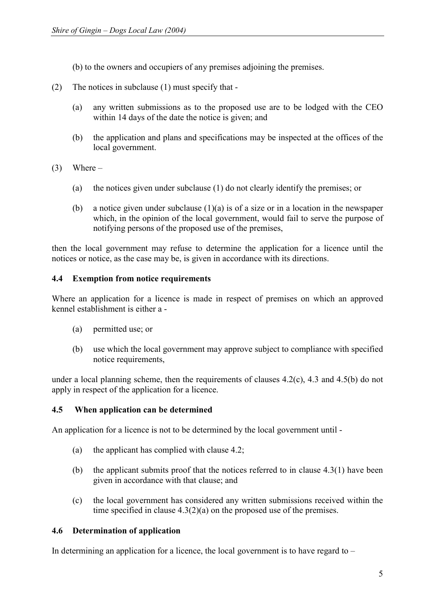(b) to the owners and occupiers of any premises adjoining the premises.

- (2) The notices in subclause (1) must specify that
	- (a) any written submissions as to the proposed use are to be lodged with the CEO within 14 days of the date the notice is given; and
	- (b) the application and plans and specifications may be inspected at the offices of the local government.
- $(3)$  Where
	- (a) the notices given under subclause (1) do not clearly identify the premises; or
	- (b) a notice given under subclause  $(1)(a)$  is of a size or in a location in the newspaper which, in the opinion of the local government, would fail to serve the purpose of notifying persons of the proposed use of the premises,

then the local government may refuse to determine the application for a licence until the notices or notice, as the case may be, is given in accordance with its directions.

# **4.4 Exemption from notice requirements**

Where an application for a licence is made in respect of premises on which an approved kennel establishment is either a -

- (a) permitted use; or
- (b) use which the local government may approve subject to compliance with specified notice requirements,

under a local planning scheme, then the requirements of clauses 4.2(c), 4.3 and 4.5(b) do not apply in respect of the application for a licence.

# **4.5 When application can be determined**

An application for a licence is not to be determined by the local government until -

- (a) the applicant has complied with clause 4.2;
- (b) the applicant submits proof that the notices referred to in clause  $4.3(1)$  have been given in accordance with that clause; and
- (c) the local government has considered any written submissions received within the time specified in clause 4.3(2)(a) on the proposed use of the premises.

# **4.6 Determination of application**

In determining an application for a licence, the local government is to have regard to  $-$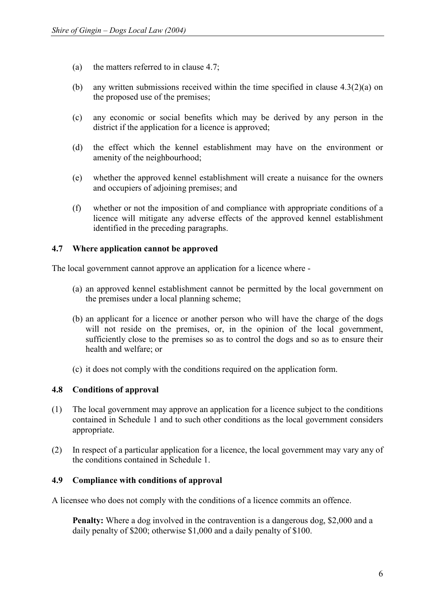- (a) the matters referred to in clause 4.7;
- (b) any written submissions received within the time specified in clause 4.3(2)(a) on the proposed use of the premises;
- (c) any economic or social benefits which may be derived by any person in the district if the application for a licence is approved;
- (d) the effect which the kennel establishment may have on the environment or amenity of the neighbourhood;
- (e) whether the approved kennel establishment will create a nuisance for the owners and occupiers of adjoining premises; and
- (f) whether or not the imposition of and compliance with appropriate conditions of a licence will mitigate any adverse effects of the approved kennel establishment identified in the preceding paragraphs.

# **4.7 Where application cannot be approved**

The local government cannot approve an application for a licence where -

- (a) an approved kennel establishment cannot be permitted by the local government on the premises under a local planning scheme;
- (b) an applicant for a licence or another person who will have the charge of the dogs will not reside on the premises, or, in the opinion of the local government, sufficiently close to the premises so as to control the dogs and so as to ensure their health and welfare; or
- (c) it does not comply with the conditions required on the application form.

# **4.8 Conditions of approval**

- (1) The local government may approve an application for a licence subject to the conditions contained in Schedule 1 and to such other conditions as the local government considers appropriate.
- (2) In respect of a particular application for a licence, the local government may vary any of the conditions contained in Schedule 1.

#### **4.9 Compliance with conditions of approval**

A licensee who does not comply with the conditions of a licence commits an offence.

**Penalty:** Where a dog involved in the contravention is a dangerous dog, \$2,000 and a daily penalty of \$200; otherwise \$1,000 and a daily penalty of \$100.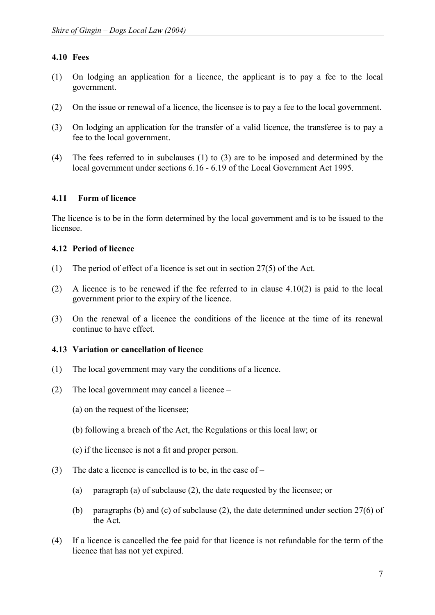# **4.10 Fees**

- (1) On lodging an application for a licence, the applicant is to pay a fee to the local government.
- (2) On the issue or renewal of a licence, the licensee is to pay a fee to the local government.
- (3) On lodging an application for the transfer of a valid licence, the transferee is to pay a fee to the local government.
- (4) The fees referred to in subclauses (1) to (3) are to be imposed and determined by the local government under sections 6.16 - 6.19 of the Local Government Act 1995.

# **4.11 Form of licence**

The licence is to be in the form determined by the local government and is to be issued to the licensee.

# **4.12 Period of licence**

- (1) The period of effect of a licence is set out in section 27(5) of the Act.
- (2) A licence is to be renewed if the fee referred to in clause 4.10(2) is paid to the local government prior to the expiry of the licence.
- (3) On the renewal of a licence the conditions of the licence at the time of its renewal continue to have effect.

# **4.13 Variation or cancellation of licence**

- (1) The local government may vary the conditions of a licence.
- (2) The local government may cancel a licence
	- (a) on the request of the licensee;
	- (b) following a breach of the Act, the Regulations or this local law; or
	- (c) if the licensee is not a fit and proper person.
- (3) The date a licence is cancelled is to be, in the case of
	- (a) paragraph (a) of subclause (2), the date requested by the licensee; or
	- (b) paragraphs (b) and (c) of subclause (2), the date determined under section 27(6) of the Act.
- (4) If a licence is cancelled the fee paid for that licence is not refundable for the term of the licence that has not yet expired.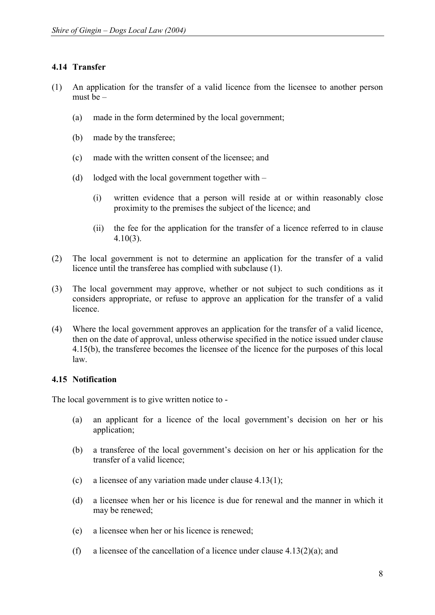# **4.14 Transfer**

- (1) An application for the transfer of a valid licence from the licensee to another person must be –
	- (a) made in the form determined by the local government;
	- (b) made by the transferee;
	- (c) made with the written consent of the licensee; and
	- (d) lodged with the local government together with
		- (i) written evidence that a person will reside at or within reasonably close proximity to the premises the subject of the licence; and
		- (ii) the fee for the application for the transfer of a licence referred to in clause 4.10(3).
- (2) The local government is not to determine an application for the transfer of a valid licence until the transferee has complied with subclause (1).
- (3) The local government may approve, whether or not subject to such conditions as it considers appropriate, or refuse to approve an application for the transfer of a valid licence.
- (4) Where the local government approves an application for the transfer of a valid licence, then on the date of approval, unless otherwise specified in the notice issued under clause 4.15(b), the transferee becomes the licensee of the licence for the purposes of this local law.

# **4.15 Notification**

The local government is to give written notice to -

- (a) an applicant for a licence of the local government's decision on her or his application;
- (b) a transferee of the local government's decision on her or his application for the transfer of a valid licence;
- (c) a licensee of any variation made under clause  $4.13(1)$ ;
- (d) a licensee when her or his licence is due for renewal and the manner in which it may be renewed;
- (e) a licensee when her or his licence is renewed;
- (f) a licensee of the cancellation of a licence under clause  $4.13(2)(a)$ ; and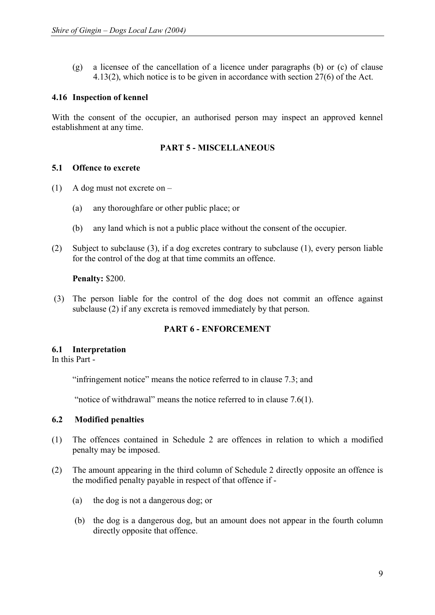(g) a licensee of the cancellation of a licence under paragraphs (b) or (c) of clause 4.13(2), which notice is to be given in accordance with section 27(6) of the Act.

# **4.16 Inspection of kennel**

With the consent of the occupier, an authorised person may inspect an approved kennel establishment at any time.

# **PART 5 - MISCELLANEOUS**

# **5.1 Offence to excrete**

- (1) A dog must not excrete on
	- (a) any thoroughfare or other public place; or
	- (b) any land which is not a public place without the consent of the occupier.
- (2) Subject to subclause (3), if a dog excretes contrary to subclause (1), every person liable for the control of the dog at that time commits an offence.

#### **Penalty:** \$200.

(3) The person liable for the control of the dog does not commit an offence against subclause (2) if any excreta is removed immediately by that person.

# **PART 6 - ENFORCEMENT**

# **6.1 Interpretation**

In this Part -

"infringement notice" means the notice referred to in clause 7.3; and

"notice of withdrawal" means the notice referred to in clause 7.6(1).

# **6.2 Modified penalties**

- (1) The offences contained in Schedule 2 are offences in relation to which a modified penalty may be imposed.
- (2) The amount appearing in the third column of Schedule 2 directly opposite an offence is the modified penalty payable in respect of that offence if -
	- (a) the dog is not a dangerous dog; or
	- (b) the dog is a dangerous dog, but an amount does not appear in the fourth column directly opposite that offence.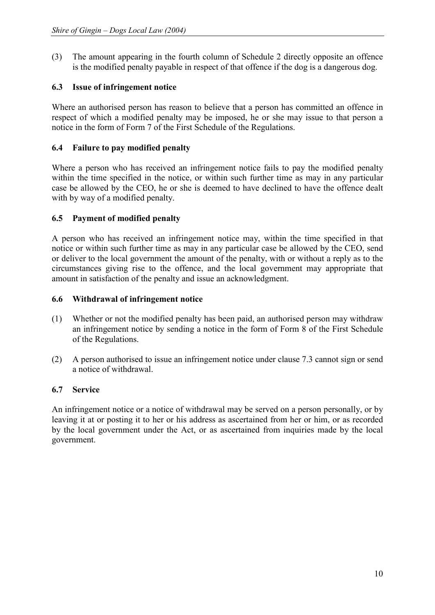(3) The amount appearing in the fourth column of Schedule 2 directly opposite an offence is the modified penalty payable in respect of that offence if the dog is a dangerous dog.

# **6.3 Issue of infringement notice**

Where an authorised person has reason to believe that a person has committed an offence in respect of which a modified penalty may be imposed, he or she may issue to that person a notice in the form of Form 7 of the First Schedule of the Regulations.

# **6.4 Failure to pay modified penalty**

Where a person who has received an infringement notice fails to pay the modified penalty within the time specified in the notice, or within such further time as may in any particular case be allowed by the CEO, he or she is deemed to have declined to have the offence dealt with by way of a modified penalty.

# **6.5 Payment of modified penalty**

A person who has received an infringement notice may, within the time specified in that notice or within such further time as may in any particular case be allowed by the CEO, send or deliver to the local government the amount of the penalty, with or without a reply as to the circumstances giving rise to the offence, and the local government may appropriate that amount in satisfaction of the penalty and issue an acknowledgment.

# **6.6 Withdrawal of infringement notice**

- (1) Whether or not the modified penalty has been paid, an authorised person may withdraw an infringement notice by sending a notice in the form of Form 8 of the First Schedule of the Regulations.
- (2) A person authorised to issue an infringement notice under clause 7.3 cannot sign or send a notice of withdrawal.

# **6.7 Service**

An infringement notice or a notice of withdrawal may be served on a person personally, or by leaving it at or posting it to her or his address as ascertained from her or him, or as recorded by the local government under the Act, or as ascertained from inquiries made by the local government.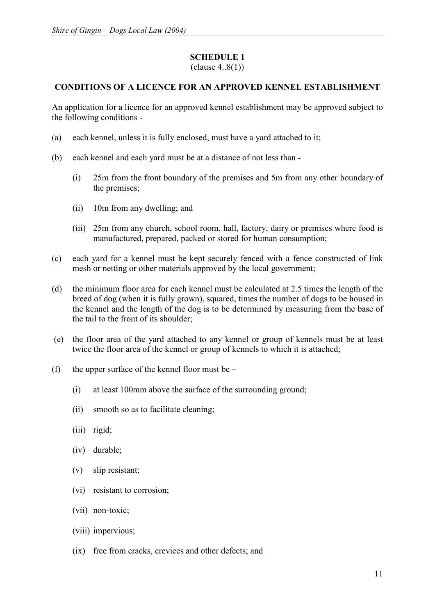# **SCHEDULE 1**

(clause 4..8(1))

# **CONDITIONS OF A LICENCE FOR AN APPROVED KENNEL ESTABLISHMENT**

An application for a licence for an approved kennel establishment may be approved subject to the following conditions -

- (a) each kennel, unless it is fully enclosed, must have a yard attached to it;
- (b) each kennel and each yard must be at a distance of not less than
	- (i) 25m from the front boundary of the premises and 5m from any other boundary of the premises;
	- (ii) 10m from any dwelling; and
	- (iii) 25m from any church, school room, hall, factory, dairy or premises where food is manufactured, prepared, packed or stored for human consumption;
- (c) each yard for a kennel must be kept securely fenced with a fence constructed of link mesh or netting or other materials approved by the local government;
- (d) the minimum floor area for each kennel must be calculated at 2.5 times the length of the breed of dog (when it is fully grown), squared, times the number of dogs to be housed in the kennel and the length of the dog is to be determined by measuring from the base of the tail to the front of its shoulder;
- (e) the floor area of the yard attached to any kennel or group of kennels must be at least twice the floor area of the kennel or group of kennels to which it is attached;
- (f) the upper surface of the kennel floor must be  $-$ 
	- (i) at least 100mm above the surface of the surrounding ground;
	- (ii) smooth so as to facilitate cleaning;
	- (iii) rigid;
	- (iv) durable;
	- (v) slip resistant;
	- (vi) resistant to corrosion;
	- (vii) non-toxic;
	- (viii) impervious;
	- (ix) free from cracks, crevices and other defects; and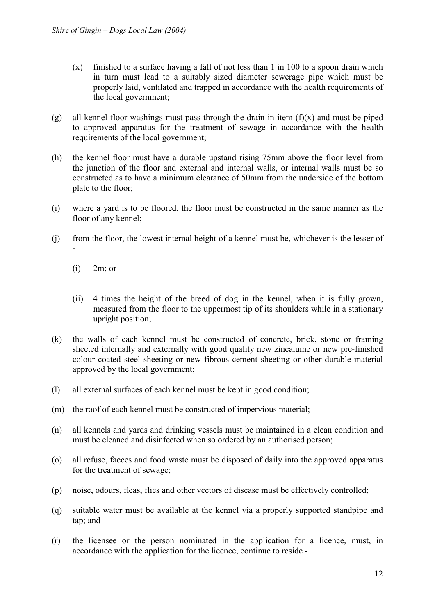- (x) finished to a surface having a fall of not less than 1 in 100 to a spoon drain which in turn must lead to a suitably sized diameter sewerage pipe which must be properly laid, ventilated and trapped in accordance with the health requirements of the local government;
- (g) all kennel floor washings must pass through the drain in item  $(f)(x)$  and must be piped to approved apparatus for the treatment of sewage in accordance with the health requirements of the local government;
- (h) the kennel floor must have a durable upstand rising 75mm above the floor level from the junction of the floor and external and internal walls, or internal walls must be so constructed as to have a minimum clearance of 50mm from the underside of the bottom plate to the floor;
- (i) where a yard is to be floored, the floor must be constructed in the same manner as the floor of any kennel;
- (j) from the floor, the lowest internal height of a kennel must be, whichever is the lesser of
	- $(i)$  2m; or

-

- (ii) 4 times the height of the breed of dog in the kennel, when it is fully grown, measured from the floor to the uppermost tip of its shoulders while in a stationary upright position;
- (k) the walls of each kennel must be constructed of concrete, brick, stone or framing sheeted internally and externally with good quality new zincalume or new pre-finished colour coated steel sheeting or new fibrous cement sheeting or other durable material approved by the local government;
- (l) all external surfaces of each kennel must be kept in good condition;
- (m) the roof of each kennel must be constructed of impervious material;
- (n) all kennels and yards and drinking vessels must be maintained in a clean condition and must be cleaned and disinfected when so ordered by an authorised person;
- (o) all refuse, faeces and food waste must be disposed of daily into the approved apparatus for the treatment of sewage;
- (p) noise, odours, fleas, flies and other vectors of disease must be effectively controlled;
- (q) suitable water must be available at the kennel via a properly supported standpipe and tap; and
- (r) the licensee or the person nominated in the application for a licence, must, in accordance with the application for the licence, continue to reside -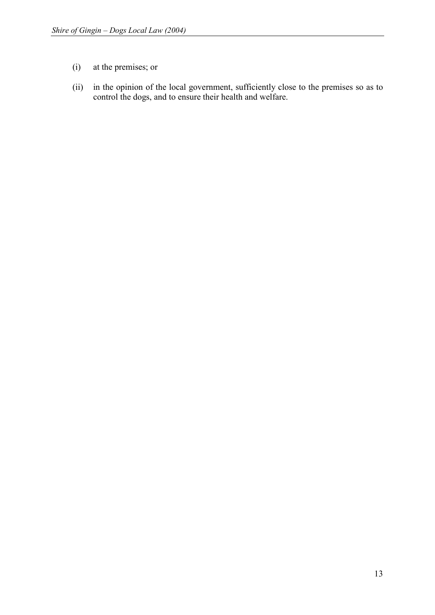- (i) at the premises; or
- (ii) in the opinion of the local government, sufficiently close to the premises so as to control the dogs, and to ensure their health and welfare.